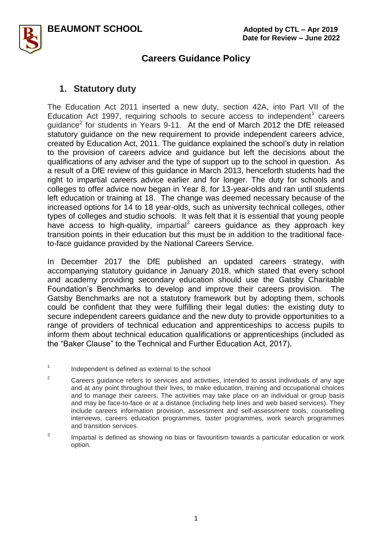

### **1. Statutory duty**

The Education Act 2011 inserted a new duty, section 42A, into Part VII of the Education Act 1997, requiring schools to secure access to independent<sup>1</sup> careers guidance<sup>2</sup> for students in Years 9-11. At the end of March 2012 the DfE released statutory guidance on the new requirement to provide independent careers advice, created by Education Act, 2011. The guidance explained the school's duty in relation to the provision of careers advice and guidance but left the decisions about the qualifications of any adviser and the type of support up to the school in question. As a result of a DfE review of this guidance in March 2013, henceforth students had the right to impartial careers advice earlier and for longer. The duty for schools and colleges to offer advice now began in Year 8, for 13-year-olds and ran until students left education or training at 18. The change was deemed necessary because of the increased options for 14 to 18 year-olds, such as university technical colleges, other types of colleges and studio schools. It was felt that it is essential that young people have access to high-quality, impartial $3$  careers guidance as they approach key transition points in their education but this must be in addition to the traditional faceto-face guidance provided by the National Careers Service.

In December 2017 the DfE published an updated careers strategy, with accompanying statutory guidance in January 2018, which stated that every school and academy providing secondary education should use the Gatsby Charitable Foundation's Benchmarks to develop and improve their careers provision. The Gatsby Benchmarks are not a statutory framework but by adopting them, schools could be confident that they were fulfilling their legal duties: the existing duty to secure independent careers guidance and the new duty to provide opportunities to a range of providers of technical education and apprenticeships to access pupils to inform them about technical education qualifications or apprenticeships (included as the "Baker Clause" to the Technical and Further Education Act, 2017).

<sup>1</sup> Independent is defined as external to the school

 $2^2$  Careers guidance refers to services and activities, intended to assist individuals of any age and at any point throughout their lives, to make education, training and occupational choices and to manage their careers. The activities may take place on an individual or group basis and may be face-to-face or at a distance (including help lines and web based services). They include careers information provision, assessment and self-assessment tools, counselling interviews, careers education programmes, taster programmes, work search programmes and transition services.

<sup>3</sup> Impartial is defined as showing no bias or favouritism towards a particular education or work option.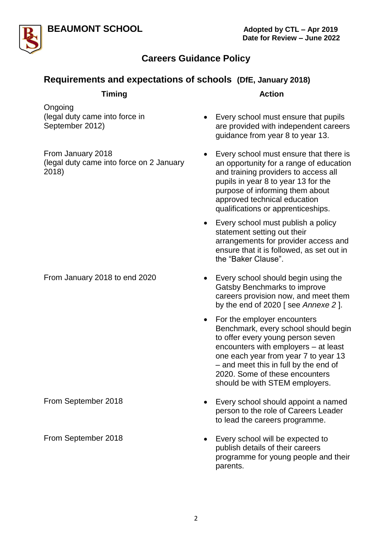



# **Requirements and expectations of schools (DfE, January 2018)**

| <b>Timing</b>                                                          | <b>Action</b>                                                                                                                                                                                                                                                                                                      |
|------------------------------------------------------------------------|--------------------------------------------------------------------------------------------------------------------------------------------------------------------------------------------------------------------------------------------------------------------------------------------------------------------|
| Ongoing<br>(legal duty came into force in<br>September 2012)           | Every school must ensure that pupils<br>are provided with independent careers<br>guidance from year 8 to year 13.                                                                                                                                                                                                  |
| From January 2018<br>(legal duty came into force on 2 January<br>2018) | Every school must ensure that there is<br>٠<br>an opportunity for a range of education<br>and training providers to access all<br>pupils in year 8 to year 13 for the<br>purpose of informing them about<br>approved technical education<br>qualifications or apprenticeships.                                     |
|                                                                        | Every school must publish a policy<br>statement setting out their<br>arrangements for provider access and<br>ensure that it is followed, as set out in<br>the "Baker Clause".                                                                                                                                      |
| From January 2018 to end 2020                                          | Every school should begin using the<br>٠<br>Gatsby Benchmarks to improve<br>careers provision now, and meet them<br>by the end of $2020$ [see Annexe 2].                                                                                                                                                           |
|                                                                        | For the employer encounters<br>$\bullet$<br>Benchmark, every school should begin<br>to offer every young person seven<br>encounters with employers - at least<br>one each year from year 7 to year 13<br>- and meet this in full by the end of<br>2020. Some of these encounters<br>should be with STEM employers. |
| From September 2018                                                    | Every school should appoint a named<br>person to the role of Careers Leader<br>to lead the careers programme.                                                                                                                                                                                                      |
| From September 2018                                                    | Every school will be expected to<br>publish details of their careers<br>programme for young people and their<br>parents.                                                                                                                                                                                           |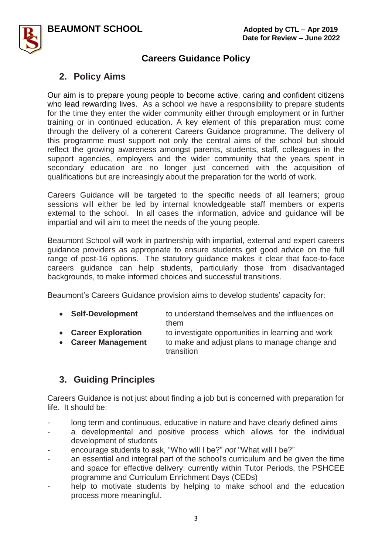

# **2. Policy Aims**

Our aim is to prepare young people to become active, caring and confident citizens who lead rewarding lives. As a school we have a responsibility to prepare students for the time they enter the wider community either through employment or in further training or in continued education. A key element of this preparation must come through the delivery of a coherent Careers Guidance programme. The delivery of this programme must support not only the central aims of the school but should reflect the growing awareness amongst parents, students, staff, colleagues in the support agencies, employers and the wider community that the years spent in secondary education are no longer just concerned with the acquisition of qualifications but are increasingly about the preparation for the world of work.

Careers Guidance will be targeted to the specific needs of all learners; group sessions will either be led by internal knowledgeable staff members or experts external to the school. In all cases the information, advice and guidance will be impartial and will aim to meet the needs of the young people.

Beaumont School will work in partnership with impartial, external and expert careers guidance providers as appropriate to ensure students get good advice on the full range of post-16 options. The statutory guidance makes it clear that face-to-face careers guidance can help students, particularly those from disadvantaged backgrounds, to make informed choices and successful transitions.

Beaumont's Careers Guidance provision aims to develop students' capacity for:

- **Self-Development** to understand themselves and the influences on them
- **Career Exploration** to investigate opportunities in learning and work
- **Career Management** to make and adjust plans to manage change and transition

## **3. Guiding Principles**

Careers Guidance is not just about finding a job but is concerned with preparation for life. It should be:

- long term and continuous, educative in nature and have clearly defined aims
- a developmental and positive process which allows for the individual development of students
- encourage students to ask, "Who will I be?" *not* "What will I be?"
- an essential and integral part of the school's curriculum and be given the time and space for effective delivery: currently within Tutor Periods, the PSHCEE programme and Curriculum Enrichment Days (CEDs)
- help to motivate students by helping to make school and the education process more meaningful.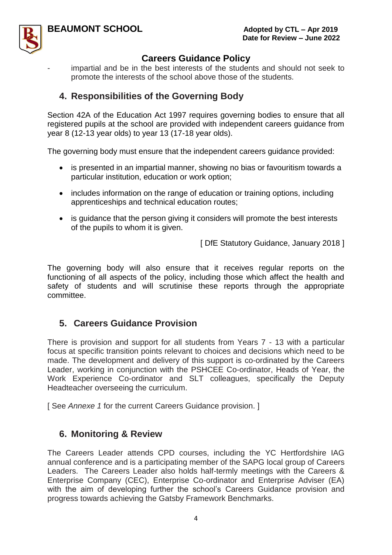

impartial and be in the best interests of the students and should not seek to promote the interests of the school above those of the students.

# **4. Responsibilities of the Governing Body**

Section 42A of the Education Act 1997 requires governing bodies to ensure that all registered pupils at the school are provided with independent careers guidance from year 8 (12-13 year olds) to year 13 (17-18 year olds).

The governing body must ensure that the independent careers guidance provided:

- is presented in an impartial manner, showing no bias or favouritism towards a particular institution, education or work option;
- includes information on the range of education or training options, including apprenticeships and technical education routes;
- is guidance that the person giving it considers will promote the best interests of the pupils to whom it is given.

[ DfE Statutory Guidance, January 2018 ]

The governing body will also ensure that it receives regular reports on the functioning of all aspects of the policy, including those which affect the health and safety of students and will scrutinise these reports through the appropriate committee.

# **5. Careers Guidance Provision**

There is provision and support for all students from Years 7 - 13 with a particular focus at specific transition points relevant to choices and decisions which need to be made. The development and delivery of this support is co-ordinated by the Careers Leader, working in conjunction with the PSHCEE Co-ordinator, Heads of Year, the Work Experience Co-ordinator and SLT colleagues, specifically the Deputy Headteacher overseeing the curriculum.

[ See *Annexe 1* for the current Careers Guidance provision. ]

## **6. Monitoring & Review**

The Careers Leader attends CPD courses, including the YC Hertfordshire IAG annual conference and is a participating member of the SAPG local group of Careers Leaders. The Careers Leader also holds half-termly meetings with the Careers & Enterprise Company (CEC), Enterprise Co-ordinator and Enterprise Adviser (EA) with the aim of developing further the school's Careers Guidance provision and progress towards achieving the Gatsby Framework Benchmarks.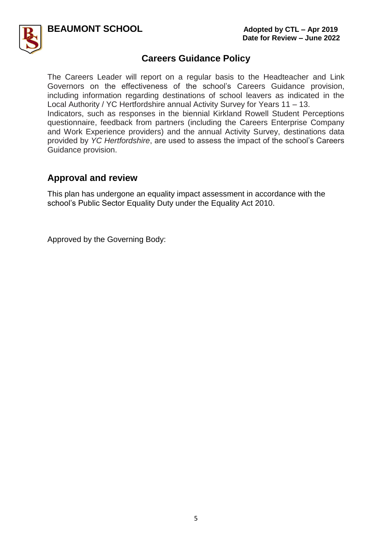



The Careers Leader will report on a regular basis to the Headteacher and Link Governors on the effectiveness of the school's Careers Guidance provision, including information regarding destinations of school leavers as indicated in the Local Authority / YC Hertfordshire annual Activity Survey for Years 11 – 13. Indicators, such as responses in the biennial Kirkland Rowell Student Perceptions questionnaire, feedback from partners (including the Careers Enterprise Company and Work Experience providers) and the annual Activity Survey, destinations data provided by *YC Hertfordshire*, are used to assess the impact of the school's Careers Guidance provision.

### **Approval and review**

This plan has undergone an equality impact assessment in accordance with the school's Public Sector Equality Duty under the Equality Act 2010.

Approved by the Governing Body: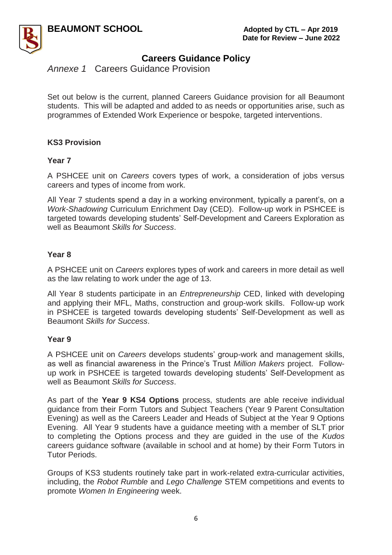

*Annexe 1* Careers Guidance Provision

Set out below is the current, planned Careers Guidance provision for all Beaumont students. This will be adapted and added to as needs or opportunities arise, such as programmes of Extended Work Experience or bespoke, targeted interventions.

#### **KS3 Provision**

#### **Year 7**

A PSHCEE unit on *Careers* covers types of work, a consideration of jobs versus careers and types of income from work.

All Year 7 students spend a day in a working environment, typically a parent's, on a *Work-Shadowing* Curriculum Enrichment Day (CED). Follow-up work in PSHCEE is targeted towards developing students' Self-Development and Careers Exploration as well as Beaumont *Skills for Success*.

#### **Year 8**

A PSHCEE unit on *Careers* explores types of work and careers in more detail as well as the law relating to work under the age of 13.

All Year 8 students participate in an *Entrepreneurship* CED, linked with developing and applying their MFL, Maths, construction and group-work skills. Follow-up work in PSHCEE is targeted towards developing students' Self-Development as well as Beaumont *Skills for Success*.

#### **Year 9**

A PSHCEE unit on *Careers* develops students' group-work and management skills, as well as financial awareness in the Prince's Trust *Million Makers* project. Followup work in PSHCEE is targeted towards developing students' Self-Development as well as Beaumont *Skills for Success*.

As part of the **Year 9 KS4 Options** process, students are able receive individual guidance from their Form Tutors and Subject Teachers (Year 9 Parent Consultation Evening) as well as the Careers Leader and Heads of Subject at the Year 9 Options Evening. All Year 9 students have a guidance meeting with a member of SLT prior to completing the Options process and they are guided in the use of the *Kudos* careers guidance software (available in school and at home) by their Form Tutors in Tutor Periods.

Groups of KS3 students routinely take part in work-related extra-curricular activities, including, the *Robot Rumble* and *Lego Challenge* STEM competitions and events to promote *Women In Engineering* week.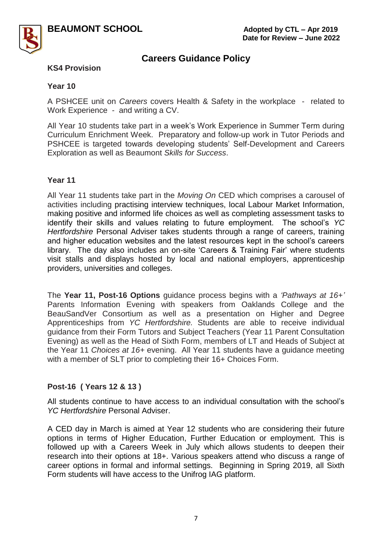

#### **KS4 Provision**

#### **Year 10**

A PSHCEE unit on *Careers* covers Health & Safety in the workplace - related to Work Experience - and writing a CV.

All Year 10 students take part in a week's Work Experience in Summer Term during Curriculum Enrichment Week. Preparatory and follow-up work in Tutor Periods and PSHCEE is targeted towards developing students' Self-Development and Careers Exploration as well as Beaumont *Skills for Success*.

#### **Year 11**

All Year 11 students take part in the *Moving On* CED which comprises a carousel of activities including practising interview techniques, local Labour Market Information, making positive and informed life choices as well as completing assessment tasks to identify their skills and values relating to future employment. The school's *YC Hertfordshire* Personal Adviser takes students through a range of careers, training and higher education websites and the latest resources kept in the school's careers library. The day also includes an on-site 'Careers & Training Fair' where students visit stalls and displays hosted by local and national employers, apprenticeship providers, universities and colleges.

The **Year 11, Post-16 Options** guidance process begins with a *'Pathways at 16+'* Parents Information Evening with speakers from Oaklands College and the BeauSandVer Consortium as well as a presentation on Higher and Degree Apprenticeships from *YC Hertfordshire.* Students are able to receive individual guidance from their Form Tutors and Subject Teachers (Year 11 Parent Consultation Evening) as well as the Head of Sixth Form, members of LT and Heads of Subject at the Year 11 *Choices at 16+* evening. All Year 11 students have a guidance meeting with a member of SLT prior to completing their 16+ Choices Form.

#### **Post-16 ( Years 12 & 13 )**

All students continue to have access to an individual consultation with the school's *YC Hertfordshire* Personal Adviser.

A CED day in March is aimed at Year 12 students who are considering their future options in terms of Higher Education, Further Education or employment. This is followed up with a Careers Week in July which allows students to deepen their research into their options at 18+. Various speakers attend who discuss a range of career options in formal and informal settings. Beginning in Spring 2019, all Sixth Form students will have access to the Unifrog IAG platform.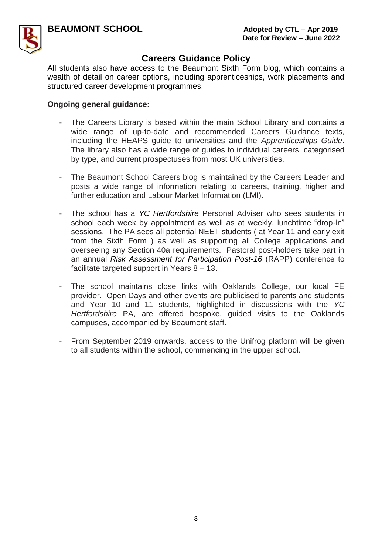

All students also have access to the Beaumont Sixth Form blog, which contains a wealth of detail on career options, including apprenticeships, work placements and structured career development programmes.

#### **Ongoing general guidance:**

- The Careers Library is based within the main School Library and contains a wide range of up-to-date and recommended Careers Guidance texts, including the HEAPS guide to universities and the *Apprenticeships Guide*. The library also has a wide range of guides to individual careers, categorised by type, and current prospectuses from most UK universities.
- The Beaumont School Careers blog is maintained by the Careers Leader and posts a wide range of information relating to careers, training, higher and further education and Labour Market Information (LMI).
- The school has a *YC Hertfordshire* Personal Adviser who sees students in school each week by appointment as well as at weekly, lunchtime "drop-in" sessions. The PA sees all potential NEET students ( at Year 11 and early exit from the Sixth Form ) as well as supporting all College applications and overseeing any Section 40a requirements. Pastoral post-holders take part in an annual *Risk Assessment for Participation Post-16* (RAPP) conference to facilitate targeted support in Years 8 – 13.
- The school maintains close links with Oaklands College, our local FE provider. Open Days and other events are publicised to parents and students and Year 10 and 11 students, highlighted in discussions with the *YC Hertfordshire* PA, are offered bespoke, guided visits to the Oaklands campuses, accompanied by Beaumont staff.
- From September 2019 onwards, access to the Unifrog platform will be given to all students within the school, commencing in the upper school.